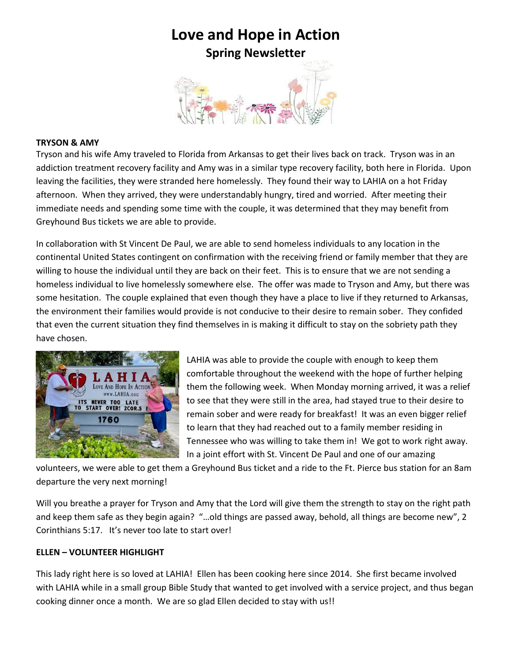

## **TRYSON & AMY**

Tryson and his wife Amy traveled to Florida from Arkansas to get their lives back on track. Tryson was in an addiction treatment recovery facility and Amy was in a similar type recovery facility, both here in Florida. Upon leaving the facilities, they were stranded here homelessly. They found their way to LAHIA on a hot Friday afternoon. When they arrived, they were understandably hungry, tired and worried. After meeting their immediate needs and spending some time with the couple, it was determined that they may benefit from Greyhound Bus tickets we are able to provide.

In collaboration with St Vincent De Paul, we are able to send homeless individuals to any location in the continental United States contingent on confirmation with the receiving friend or family member that they are willing to house the individual until they are back on their feet. This is to ensure that we are not sending a homeless individual to live homelessly somewhere else. The offer was made to Tryson and Amy, but there was some hesitation. The couple explained that even though they have a place to live if they returned to Arkansas, the environment their families would provide is not conducive to their desire to remain sober. They confided that even the current situation they find themselves in is making it difficult to stay on the sobriety path they have chosen.



LAHIA was able to provide the couple with enough to keep them comfortable throughout the weekend with the hope of further helping them the following week. When Monday morning arrived, it was a relief to see that they were still in the area, had stayed true to their desire to remain sober and were ready for breakfast! It was an even bigger relief to learn that they had reached out to a family member residing in Tennessee who was willing to take them in! We got to work right away. In a joint effort with St. Vincent De Paul and one of our amazing

volunteers, we were able to get them a Greyhound Bus ticket and a ride to the Ft. Pierce bus station for an 8am departure the very next morning!

Will you breathe a prayer for Tryson and Amy that the Lord will give them the strength to stay on the right path and keep them safe as they begin again? "…old things are passed away, behold, all things are become new", 2 Corinthians 5:17. It's never too late to start over!

## **ELLEN – VOLUNTEER HIGHLIGHT**

This lady right here is so loved at LAHIA! Ellen has been cooking here since 2014. She first became involved with LAHIA while in a small group Bible Study that wanted to get involved with a service project, and thus began cooking dinner once a month. We are so glad Ellen decided to stay with us!!